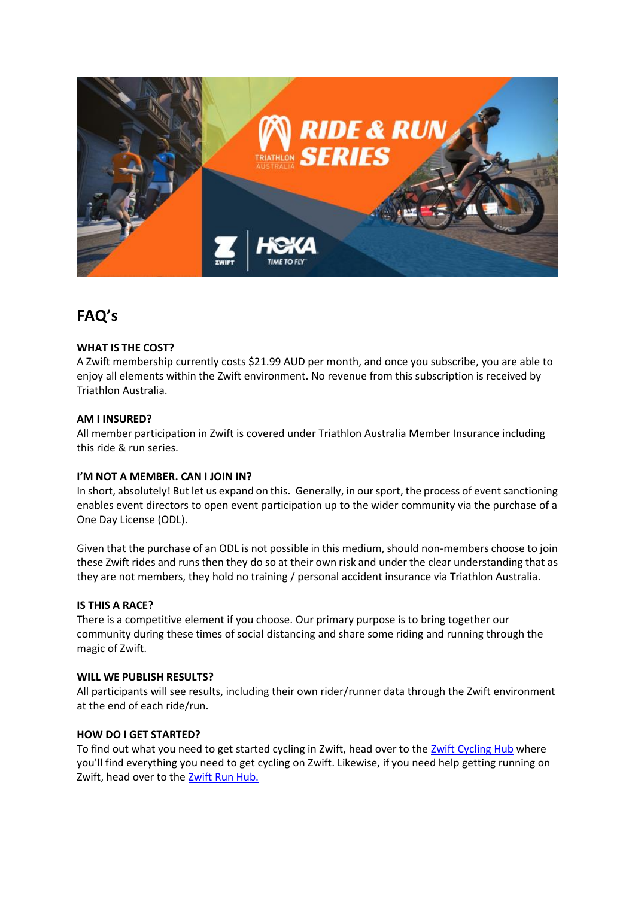

# **FAQ's**

## **WHAT IS THE COST?**

A Zwift membership currently costs \$21.99 AUD per month, and once you subscribe, you are able to enjoy all elements within the Zwift environment. No revenue from this subscription is received by Triathlon Australia.

### **AM I INSURED?**

All member participation in Zwift is covered under Triathlon Australia Member Insurance including this ride & run series.

### **I'M NOT A MEMBER. CAN I JOIN IN?**

In short, absolutely! But let us expand on this. Generally, in our sport, the process of event sanctioning enables event directors to open event participation up to the wider community via the purchase of a One Day License (ODL).

Given that the purchase of an ODL is not possible in this medium, should non-members choose to join these Zwift rides and runs then they do so at their own risk and under the clear understanding that as they are not members, they hold no training / personal accident insurance via Triathlon Australia.

### **IS THIS A RACE?**

There is a competitive element if you choose. Our primary purpose is to bring together our community during these times of social distancing and share some riding and running through the magic of Zwift.

### **WILL WE PUBLISH RESULTS?**

All participants will see results, including their own rider/runner data through the Zwift environment at the end of each ride/run.

### **HOW DO I GET STARTED?**

To find out what you need to get started cycling in Zwift, head over to the [Zwift Cycling Hub](https://zwift.com/video/how-to-cycling) where you'll find everything you need to get cycling on Zwift. Likewise, if you need help getting running on Zwift, head over to the [Zwift Run Hub.](https://zwift.com/run)